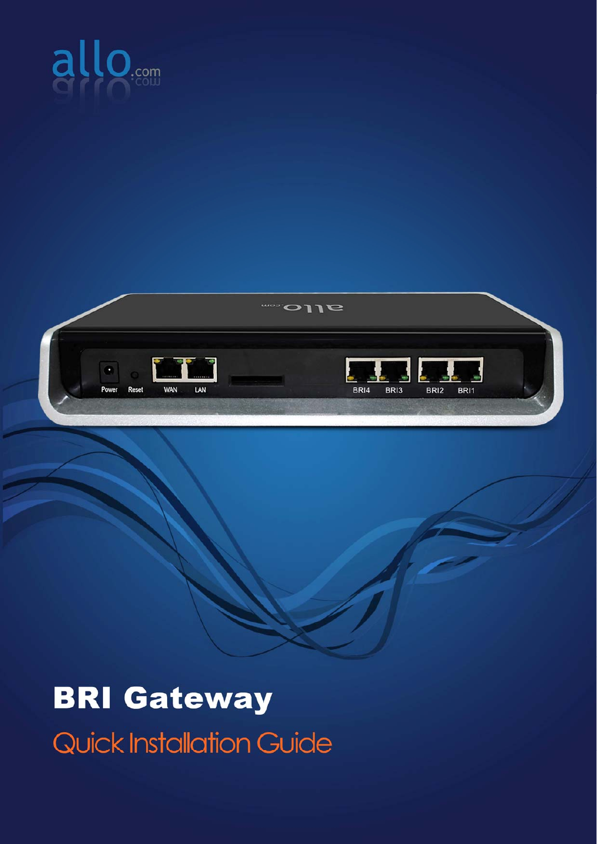



## **BRI Gateway Quick Installation Guide**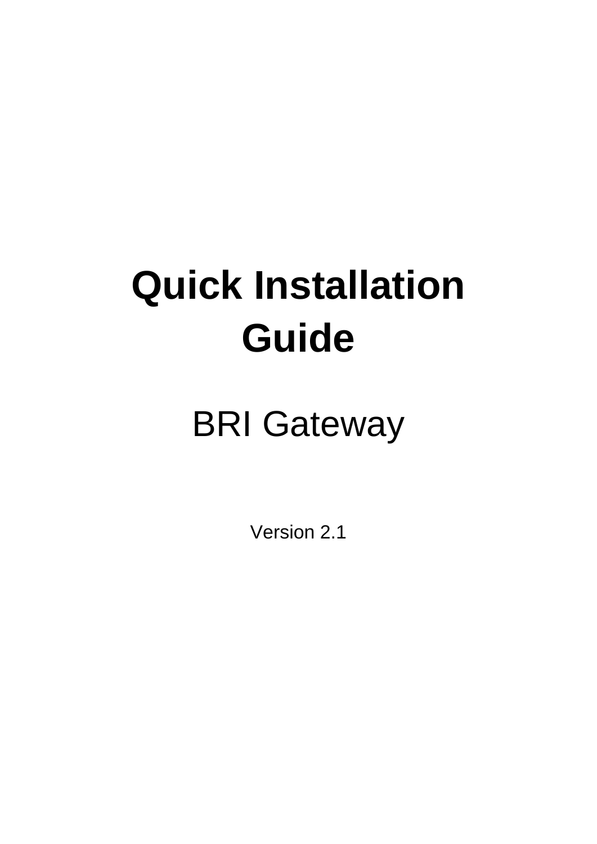# **Quick Installation Guide**

## BRI Gateway

Version 2.1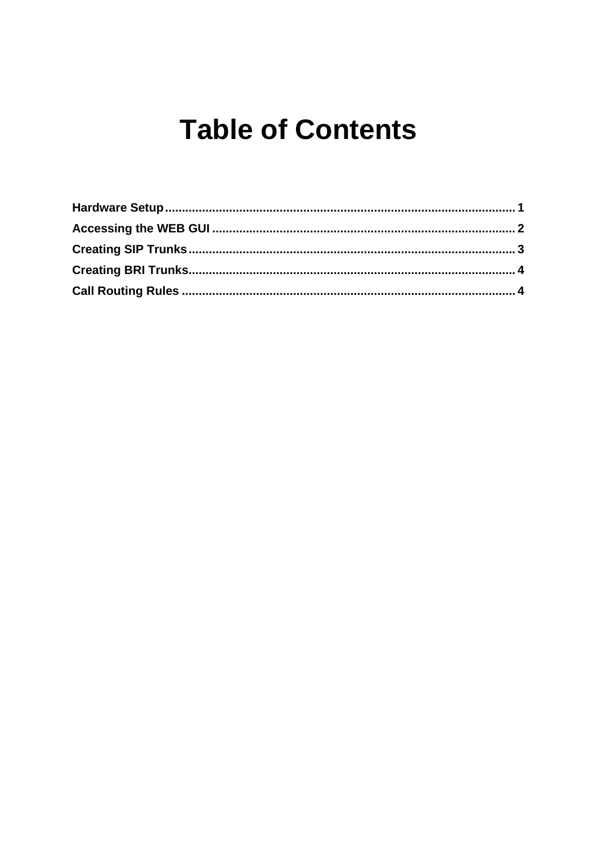### **Table of Contents**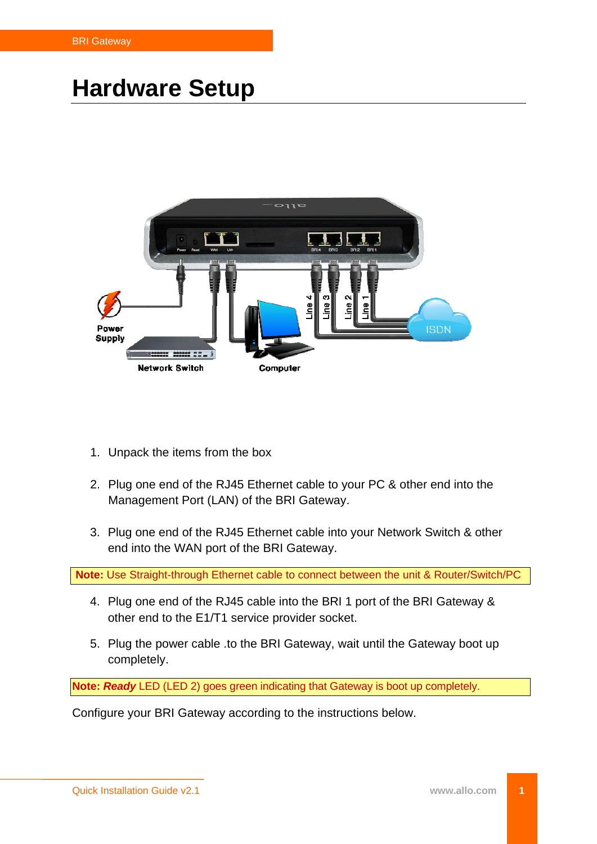#### <span id="page-3-0"></span>**Hardware Setup**



- 1. Unpack the items from the box
- 2. Plug one end of the RJ45 Ethernet cable to your PC & other end into the Management Port (LAN) of the BRI Gateway.
- 3. Plug one end of the RJ45 Ethernet cable into your Network Switch & other end into the WAN port of the BRI Gateway.

**Note:** Use Straight-through Ethernet cable to connect between the unit & Router/Switch/PC

- 4. Plug one end of the RJ45 cable into the BRI 1 port of the BRI Gateway & other end to the E1/T1 service provider socket.
- 5. Plug the power cable .to the BRI Gateway, wait until the Gateway boot up completely.

**Note:** *Ready* LED (LED 2) goes green indicating that Gateway is boot up completely.

Configure your BRI Gateway according to the instructions below.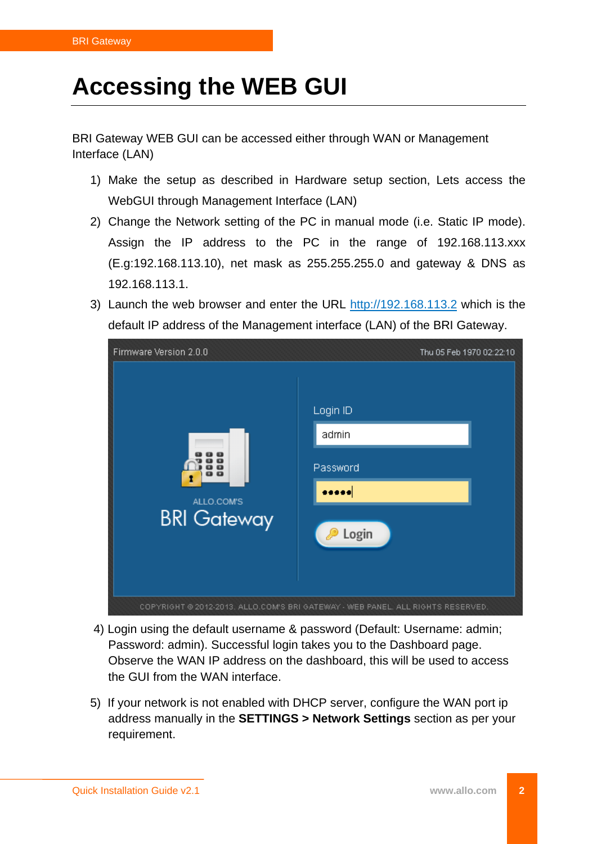### <span id="page-4-0"></span>**Accessing the WEB GUI**

BRI Gateway WEB GUI can be accessed either through WAN or Management Interface (LAN)

- 1) Make the setup as described in Hardware setup section, Lets access the WebGUI through Management Interface (LAN)
- 2) Change the Network setting of the PC in manual mode (i.e. Static IP mode). Assign the IP address to the PC in the range of 192.168.113.xxx (E.g:192.168.113.10), net mask as 255.255.255.0 and gateway & DNS as 192.168.113.1.
- 3) Launch the web browser and enter the URL [http://192.168.113.2](http://192.168.113.2/) which is the default IP address of the Management interface (LAN) of the BRI Gateway.

| Firmware Version 2.0.0                  | Thu 05 Feb 1970 02:22:10                                                        |
|-----------------------------------------|---------------------------------------------------------------------------------|
| o o<br>ALLO.COM'S<br><b>BRI Gateway</b> | Login ID<br>admin<br>Password<br>Login<br>P                                     |
|                                         | COPYRIGHT © 2012-2013. ALLO.COM'S BRI GATEWAY - WEB PANEL. ALL RIGHTS RESERVED. |

- 4) Login using the default username & password (Default: Username: admin; Password: admin). Successful login takes you to the Dashboard page. Observe the WAN IP address on the dashboard, this will be used to access the GUI from the WAN interface.
- 5) If your network is not enabled with DHCP server, configure the WAN port ip address manually in the **SETTINGS > Network Settings** section as per your requirement.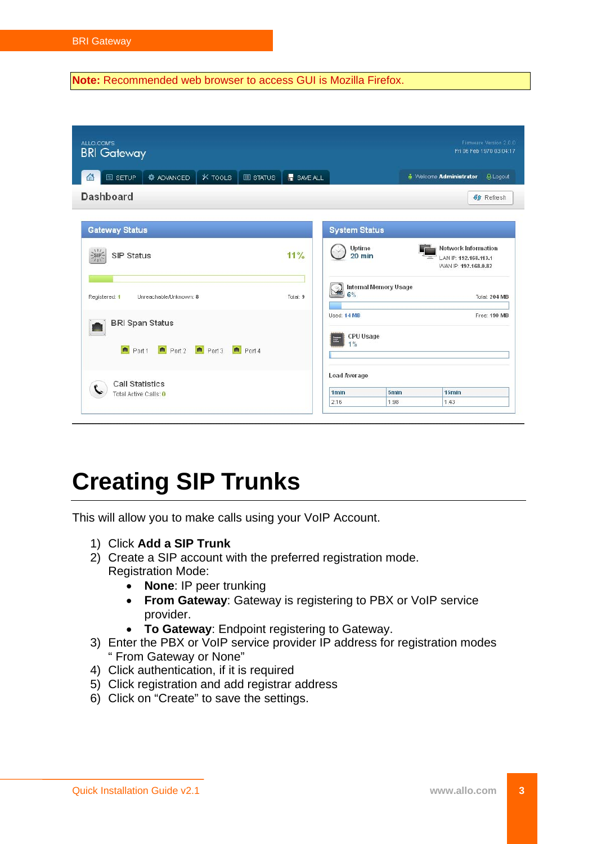<span id="page-5-0"></span>**Note:** Recommended web browser to access GUI is Mozilla Firefox.

| ALLO.COM'S<br><b>BRI</b> Gateway                                    |            |                                          |                          | Firmware Version 2.0.0<br>Fri 06 Feb 1970 03:04:17                          |
|---------------------------------------------------------------------|------------|------------------------------------------|--------------------------|-----------------------------------------------------------------------------|
| <b>O</b> ADVANCED<br>$*$ TOOLS<br>国 SETUP<br><b>III</b> STATUS<br>血 | H SAVE ALL |                                          |                          | <b><i>in</i></b> Welcome <b>Administrator</b><br><b>A Logout</b>            |
| <b>Dashboard</b>                                                    |            |                                          |                          | <b>41</b> Refresh                                                           |
| <b>Gateway Status</b>                                               |            | <b>System Status</b>                     |                          |                                                                             |
| $\frac{1}{2}$ sin-<br>SIP Status                                    | 11%        | Uptime<br>$20$ min                       |                          | <b>Network Information</b><br>LAN IP: 192.168.113.1<br>WAN IP: 192.168.0.82 |
| Registered: 1<br>Unreachable/Unknown: 8                             | Total: 9   | <b>Internal Memory Usage</b><br>Q<br>6%  |                          | Total: 204 MB                                                               |
| <b>BRI Span Status</b><br>$Port2$ Port 3<br>Port 1<br>Port 4        |            | Used: 14 MB<br>CPU Usage<br>1%           |                          | Free: 190 MB                                                                |
| <b>Call Statistics</b><br>Total Active Calls: 0                     |            | Load Average<br>1 <sub>min</sub><br>2.16 | 5 <sub>min</sub><br>1.98 | 15min<br>1.43                                                               |

#### **Creating SIP Trunks**

This will allow you to make calls using your VoIP Account.

- 1) Click **Add a SIP Trunk**
- 2) Create a SIP account with the preferred registration mode. Registration Mode:
	- **None**: IP peer trunking
	- **From Gateway**: Gateway is registering to PBX or VoIP service provider.
	- **To Gateway**: Endpoint registering to Gateway.
- 3) Enter the PBX or VoIP service provider IP address for registration modes " From Gateway or None"
- 4) Click authentication, if it is required
- 5) Click registration and add registrar address
- 6) Click on "Create" to save the settings.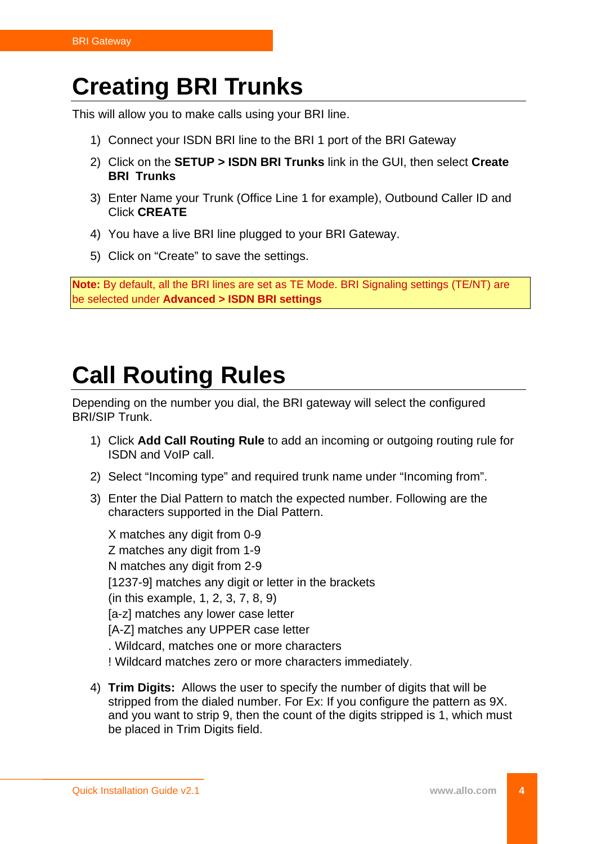#### <span id="page-6-0"></span>**Creating BRI Trunks**

This will allow you to make calls using your BRI line.

- 1) Connect your ISDN BRI line to the BRI 1 port of the BRI Gateway
- 2) Click on the **SETUP > ISDN BRI Trunks** link in the GUI, then select **Create BRI Trunks**
- 3) Enter Name your Trunk (Office Line 1 for example), Outbound Caller ID and Click **CREATE**
- 4) You have a live BRI line plugged to your BRI Gateway.
- 5) Click on "Create" to save the settings.

**Note:** By default, all the BRI lines are set as TE Mode. BRI Signaling settings (TE/NT) are be selected under **Advanced > ISDN BRI settings**

#### **Call Routing Rules**

Depending on the number you dial, the BRI gateway will select the configured BRI/SIP Trunk.

- 1) Click **Add Call Routing Rule** to add an incoming or outgoing routing rule for ISDN and VoIP call.
- 2) Select "Incoming type" and required trunk name under "Incoming from".
- 3) Enter the Dial Pattern to match the expected number. Following are the characters supported in the Dial Pattern.

X matches any digit from 0-9 Z matches any digit from 1-9 N matches any digit from 2-9 [1237-9] matches any digit or letter in the brackets (in this example, 1, 2, 3, 7, 8, 9) [a-z] matches any lower case letter [A-Z] matches any UPPER case letter . Wildcard, matches one or more characters ! Wildcard matches zero or more characters immediately.

4) **Trim Digits:** Allows the user to specify the number of digits that will be stripped from the dialed number. For Ex: If you configure the pattern as 9X. and you want to strip 9, then the count of the digits stripped is 1, which must be placed in Trim Digits field.